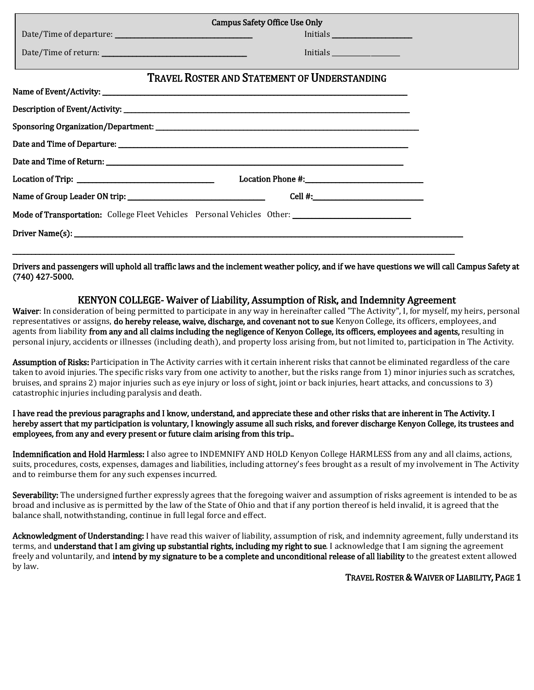| <b>Campus Safety Office Use Only</b>                                                                 |                                                                                                                                                                                                                                                                                                       |  |  |  |  |  |
|------------------------------------------------------------------------------------------------------|-------------------------------------------------------------------------------------------------------------------------------------------------------------------------------------------------------------------------------------------------------------------------------------------------------|--|--|--|--|--|
|                                                                                                      |                                                                                                                                                                                                                                                                                                       |  |  |  |  |  |
|                                                                                                      |                                                                                                                                                                                                                                                                                                       |  |  |  |  |  |
|                                                                                                      | TRAVEL ROSTER AND STATEMENT OF UNDERSTANDING                                                                                                                                                                                                                                                          |  |  |  |  |  |
|                                                                                                      |                                                                                                                                                                                                                                                                                                       |  |  |  |  |  |
|                                                                                                      |                                                                                                                                                                                                                                                                                                       |  |  |  |  |  |
|                                                                                                      |                                                                                                                                                                                                                                                                                                       |  |  |  |  |  |
|                                                                                                      |                                                                                                                                                                                                                                                                                                       |  |  |  |  |  |
|                                                                                                      |                                                                                                                                                                                                                                                                                                       |  |  |  |  |  |
|                                                                                                      |                                                                                                                                                                                                                                                                                                       |  |  |  |  |  |
|                                                                                                      | Cell #: $\frac{1}{2}$ = $\frac{1}{2}$ = $\frac{1}{2}$ = $\frac{1}{2}$ = $\frac{1}{2}$ = $\frac{1}{2}$ = $\frac{1}{2}$ = $\frac{1}{2}$ = $\frac{1}{2}$ = $\frac{1}{2}$ = $\frac{1}{2}$ = $\frac{1}{2}$ = $\frac{1}{2}$ = $\frac{1}{2}$ = $\frac{1}{2}$ = $\frac{1}{2}$ = $\frac{1}{2}$ = $\frac{1}{2}$ |  |  |  |  |  |
| Mode of Transportation: College Fleet Vehicles Personal Vehicles Other: ____________________________ |                                                                                                                                                                                                                                                                                                       |  |  |  |  |  |
|                                                                                                      |                                                                                                                                                                                                                                                                                                       |  |  |  |  |  |
|                                                                                                      |                                                                                                                                                                                                                                                                                                       |  |  |  |  |  |

Drivers and passengers will uphold all traffic laws and the inclement weather policy, and if we have questions we will call Campus Safety at (740) 427-5000.

## KENYON COLLEGE- Waiver of Liability, Assumption of Risk, and Indemnity Agreement

Waiver: In consideration of being permitted to participate in any way in hereinafter called "The Activity", I, for myself, my heirs, personal representatives or assigns, do hereby release, waive, discharge, and covenant not to sue Kenyon College, its officers, employees, and agents from liability from any and all claims including the negligence of Kenyon College, its officers, employees and agents, resulting in personal injury, accidents or illnesses (including death), and property loss arising from, but not limited to, participation in The Activity.

Assumption of Risks: Participation in The Activity carries with it certain inherent risks that cannot be eliminated regardless of the care taken to avoid injuries. The specific risks vary from one activity to another, but the risks range from 1) minor injuries such as scratches, bruises, and sprains 2) major injuries such as eye injury or loss of sight, joint or back injuries, heart attacks, and concussions to 3) catastrophic injuries including paralysis and death.

I have read the previous paragraphs and I know, understand, and appreciate these and other risks that are inherent in The Activity. I hereby assert that my participation is voluntary, I knowingly assume all such risks, and forever discharge Kenyon College, its trustees and employees, from any and every present or future claim arising from this trip..

Indemnification and Hold Harmless: I also agree to INDEMNIFY AND HOLD Kenyon College HARMLESS from any and all claims, actions, suits, procedures, costs, expenses, damages and liabilities, including attorney's fees brought as a result of my involvement in The Activity and to reimburse them for any such expenses incurred.

Severability: The undersigned further expressly agrees that the foregoing waiver and assumption of risks agreement is intended to be as broad and inclusive as is permitted by the law of the State of Ohio and that if any portion thereof is held invalid, it is agreed that the balance shall, notwithstanding, continue in full legal force and effect.

Acknowledgment of Understanding: I have read this waiver of liability, assumption of risk, and indemnity agreement, fully understand its terms, and understand that I am giving up substantial rights, including my right to sue. I acknowledge that I am signing the agreement freely and voluntarily, and intend by my signature to be a complete and unconditional release of all liability to the greatest extent allowed by law.

TRAVEL ROSTER & WAIVER OF LIABILITY, PAGE 1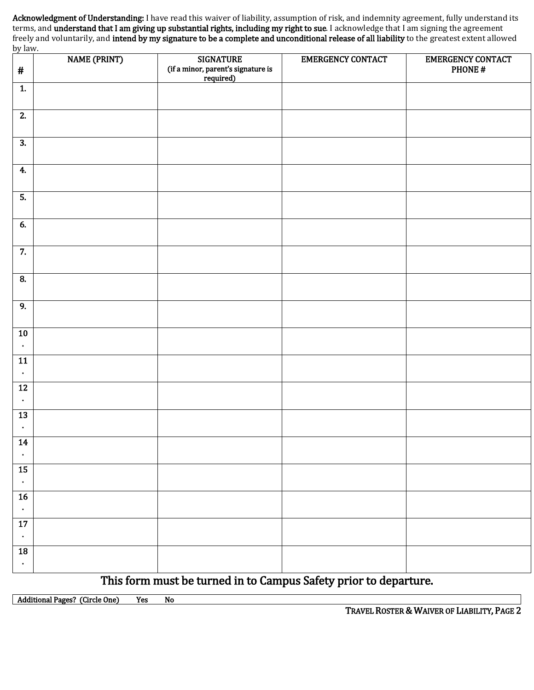Acknowledgment of Understanding: I have read this waiver of liability, assumption of risk, and indemnity agreement, fully understand its terms, and understand that I am giving up substantial rights, including my right to sue. I acknowledge that I am signing the agreement freely and voluntarily, and intend by my signature to be a complete and unconditional release of all liability to the greatest extent allowed by law.

| <u>by iuw.</u><br>$\#$       | <b>NAME (PRINT)</b> | <b>SIGNATURE</b><br>(if a minor, parent's signature is<br>required) | <b>EMERGENCY CONTACT</b> | <b>EMERGENCY CONTACT</b><br>PHONE# |
|------------------------------|---------------------|---------------------------------------------------------------------|--------------------------|------------------------------------|
| $\mathbf{1}$                 |                     |                                                                     |                          |                                    |
| $\overline{2}$ .             |                     |                                                                     |                          |                                    |
| $\overline{3}$ .             |                     |                                                                     |                          |                                    |
| 4.                           |                     |                                                                     |                          |                                    |
| $\overline{5}$ .             |                     |                                                                     |                          |                                    |
| 6.                           |                     |                                                                     |                          |                                    |
| $\overline{7}$ .             |                     |                                                                     |                          |                                    |
| $\bf{8}$                     |                     |                                                                     |                          |                                    |
| $\overline{9}$               |                     |                                                                     |                          |                                    |
| ${\bf 10}$<br>$\bullet$      |                     |                                                                     |                          |                                    |
| 11<br>$\bullet$              |                     |                                                                     |                          |                                    |
| $12\,$<br>$\bullet$          |                     |                                                                     |                          |                                    |
| 13<br>$\blacksquare$         |                     |                                                                     |                          |                                    |
| 14<br>$\bullet$              |                     |                                                                     |                          |                                    |
| $15\,$<br>$\bullet$          |                     |                                                                     |                          |                                    |
| $16\,$<br>$\bullet$          |                     |                                                                     |                          |                                    |
| $\overline{17}$<br>$\bullet$ |                     |                                                                     |                          |                                    |
| ${\bf 18}$<br>$\bullet$      |                     |                                                                     |                          |                                    |

This form must be turned in to Campus Safety prior to departure.

Additional Pages? (Circle One) Yes No

TRAVEL ROSTER & WAIVER OF LIABILITY, PAGE 2